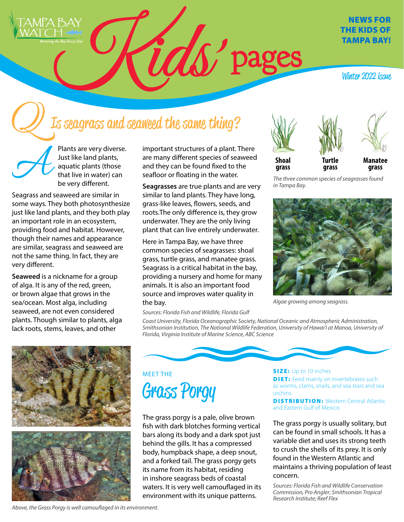

#### NEWS FOR THE KIDS OF TAMPA BAY!

Winter 2022 *issue* 

# Is seagrass and seaweed the same thing?

Plants are very diverse. Just like land plants, aquatic plants (those that live in water) can be very different.

Seagrass and seaweed are similar in some ways. They both photosynthesize just like land plants, and they both play an important role in an ecosystem, providing food and habitat. However, though their names and appearance are similar, seagrass and seaweed are not the same thing. In fact, they are very different.

**Seaweed** is a nickname for a group of alga. It is any of the red, green, or brown algae that grows in the sea/ocean. Most alga, including seaweed, are not even considered plants. Though similar to plants, alga lack roots, stems, leaves, and other

important structures of a plant. There are many different species of seaweed and they can be found fixed to the seafloor or floating in the water.

**Seagrasses** are true plants and are very similar to land plants. They have long, grass-like leaves, flowers, seeds, and roots.The only difference is, they grow underwater. They are the only living plant that can live entirely underwater.

Here in Tampa Bay, we have three common species of seagrasses: shoal grass, turtle grass, and manatee grass. Seagrass is a critical habitat in the bay, providing a nursery and home for many animals. It is also an important food source and improves water quality in the bay.

*Sources: Florida Fish and Wildlife, Florida Gulf* 







**Shoal grass**

**Turtle grass**

**Manatee grass**

*The three common species of seagrasses found in Tampa Bay.*



*Algae growing among seagrass.*



*Smithsonian Institution, The National Wildlife Federation, University of Hawai'i at Manoa, University of Florida, Virginia Institute of Marine Science, ABC Science*

*Coast University, Florida Oceanographic Society, National Oceanic and Atmospheric Administration,* 



### MEET THE Grass Porgy

The grass porgy is a pale, olive brown fish with dark blotches forming vertical bars along its body and a dark spot just behind the gills. It has a compressed body, humpback shape, a deep snout, and a forked tail. The grass porgy gets its name from its habitat, residing in inshore seagrass beds of coastal waters. It is very well camouflaged in its environment with its unique patterns.

**SIZE:** Up to 10 inches **DIET:** Feed mainly on invertebrates such as worms, clams, snails, and sea stars and sea urchins.

**DISTRIBUTION: Western Central Atlantic** and Eastern Gulf of Mexico

The grass porgy is usually solitary, but can be found in small schools. It has a variable diet and uses its strong teeth to crush the shells of its prey. It is only found in the Western Atlantic and maintains a thriving population of least concern.

*Sources: Florida Fish and Wildlife Conservation Commission, Pro Angler; Smithsonian Tropical Research Institute; Reef Flex*

```
Above, the Grass Porgy is well camouflaged in its environment.
```